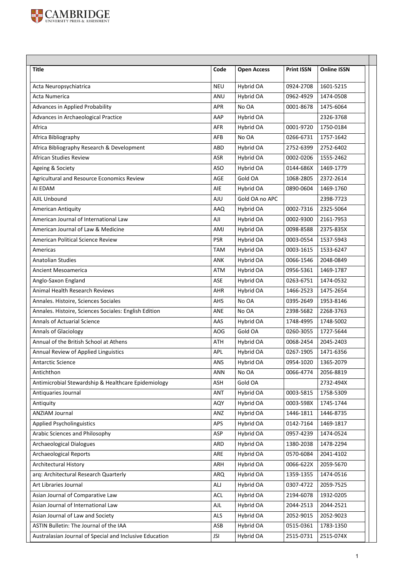

| <b>Title</b>                                            | Code       | <b>Open Access</b> | <b>Print ISSN</b> | <b>Online ISSN</b> |
|---------------------------------------------------------|------------|--------------------|-------------------|--------------------|
| Acta Neuropsychiatrica                                  | <b>NEU</b> | Hybrid OA          | 0924-2708         | 1601-5215          |
| Acta Numerica                                           | <b>ANU</b> | Hybrid OA          | 0962-4929         | 1474-0508          |
| Advances in Applied Probability                         | <b>APR</b> | No OA              | 0001-8678         | 1475-6064          |
| Advances in Archaeological Practice                     | AAP        | Hybrid OA          |                   | 2326-3768          |
| Africa                                                  | AFR        | Hybrid OA          | 0001-9720         | 1750-0184          |
| Africa Bibliography                                     | AFB        | No OA              | 0266-6731         | 1757-1642          |
| Africa Bibliography Research & Development              | ABD        | Hybrid OA          | 2752-6399         | 2752-6402          |
| <b>African Studies Review</b>                           | <b>ASR</b> | Hybrid OA          | 0002-0206         | 1555-2462          |
| Ageing & Society                                        | <b>ASO</b> | Hybrid OA          | 0144-686X         | 1469-1779          |
| Agricultural and Resource Economics Review              | <b>AGE</b> | Gold OA            | 1068-2805         | 2372-2614          |
| AI EDAM                                                 | AIE        | Hybrid OA          | 0890-0604         | 1469-1760          |
| AJIL Unbound                                            | <b>AJU</b> | Gold OA no APC     |                   | 2398-7723          |
| <b>American Antiquity</b>                               | AAQ        | Hybrid OA          | 0002-7316         | 2325-5064          |
| American Journal of International Law                   | AJI        | Hybrid OA          | 0002-9300         | 2161-7953          |
| American Journal of Law & Medicine                      | AMJ        | Hybrid OA          | 0098-8588         | 2375-835X          |
| American Political Science Review                       | <b>PSR</b> | Hybrid OA          | 0003-0554         | 1537-5943          |
| Americas                                                | <b>TAM</b> | Hybrid OA          | 0003-1615         | 1533-6247          |
| <b>Anatolian Studies</b>                                | ANK        | Hybrid OA          | 0066-1546         | 2048-0849          |
| Ancient Mesoamerica                                     | ATM        | Hybrid OA          | 0956-5361         | 1469-1787          |
| Anglo-Saxon England                                     | ASE        | Hybrid OA          | 0263-6751         | 1474-0532          |
| Animal Health Research Reviews                          | <b>AHR</b> | Hybrid OA          | 1466-2523         | 1475-2654          |
| Annales. Histoire, Sciences Sociales                    | <b>AHS</b> | No OA              | 0395-2649         | 1953-8146          |
| Annales. Histoire, Sciences Sociales: English Edition   | <b>ANE</b> | No OA              | 2398-5682         | 2268-3763          |
| <b>Annals of Actuarial Science</b>                      | AAS        | Hybrid OA          | 1748-4995         | 1748-5002          |
| <b>Annals of Glaciology</b>                             | <b>AOG</b> | Gold OA            | 0260-3055         | 1727-5644          |
| Annual of the British School at Athens                  | ATH        | Hybrid OA          | 0068-2454         | 2045-2403          |
| Annual Review of Applied Linguistics                    | <b>APL</b> | Hybrid OA          | 0267-1905         | 1471-6356          |
| Antarctic Science                                       | ANS        | Hybrid OA          | 0954-1020         | 1365-2079          |
| Antichthon                                              | ANN        | No OA              | 0066-4774         | 2056-8819          |
| Antimicrobial Stewardship & Healthcare Epidemiology     | ASH        | Gold OA            |                   | 2732-494X          |
| Antiquaries Journal                                     | ANT        | Hybrid OA          | 0003-5815         | 1758-5309          |
| Antiquity                                               | AQY        | Hybrid OA          | 0003-598X         | 1745-1744          |
| ANZIAM Journal                                          | ANZ        | Hybrid OA          | 1446-1811         | 1446-8735          |
| <b>Applied Psycholinguistics</b>                        | APS        | Hybrid OA          | 0142-7164         | 1469-1817          |
| Arabic Sciences and Philosophy                          | ASP        | Hybrid OA          | 0957-4239         | 1474-0524          |
| <b>Archaeological Dialogues</b>                         | ARD        | Hybrid OA          | 1380-2038         | 1478-2294          |
| <b>Archaeological Reports</b>                           | ARE        | Hybrid OA          | 0570-6084         | 2041-4102          |
| Architectural History                                   | ARH        | Hybrid OA          | 0066-622X         | 2059-5670          |
| arq: Architectural Research Quarterly                   | <b>ARQ</b> | Hybrid OA          | 1359-1355         | 1474-0516          |
| Art Libraries Journal                                   | ALJ        | Hybrid OA          | 0307-4722         | 2059-7525          |
| Asian Journal of Comparative Law                        | <b>ACL</b> | Hybrid OA          | 2194-6078         | 1932-0205          |
| Asian Journal of International Law                      | AJL        | Hybrid OA          | 2044-2513         | 2044-2521          |
| Asian Journal of Law and Society                        | ALS        | Hybrid OA          | 2052-9015         | 2052-9023          |
| ASTIN Bulletin: The Journal of the IAA                  | ASB        | Hybrid OA          | 0515-0361         | 1783-1350          |
| Australasian Journal of Special and Inclusive Education | <b>JSI</b> | Hybrid OA          | 2515-0731         | 2515-074X          |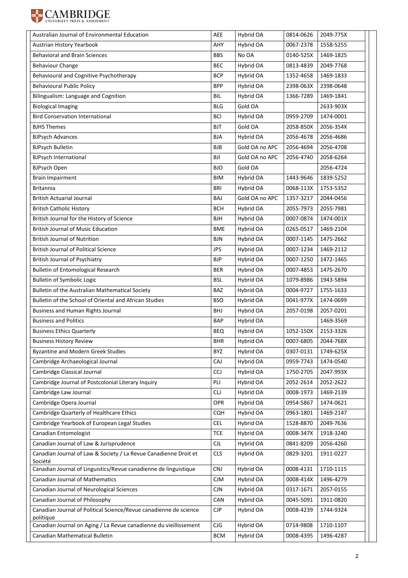

| Australian Journal of Environmental Education                                  | AEE        | Hybrid OA      | 0814-0626 | 2049-775X |
|--------------------------------------------------------------------------------|------------|----------------|-----------|-----------|
| Austrian History Yearbook                                                      | AHY        | Hybrid OA      | 0067-2378 | 1558-5255 |
| <b>Behavioral and Brain Sciences</b>                                           | <b>BBS</b> | No OA          | 0140-525X | 1469-1825 |
| <b>Behaviour Change</b>                                                        | <b>BEC</b> | Hybrid OA      | 0813-4839 | 2049-7768 |
| Behavioural and Cognitive Psychotherapy                                        | <b>BCP</b> | Hybrid OA      | 1352-4658 | 1469-1833 |
| <b>Behavioural Public Policy</b>                                               | <b>BPP</b> | Hybrid OA      | 2398-063X | 2398-0648 |
| Bilingualism: Language and Cognition                                           | <b>BIL</b> | Hybrid OA      | 1366-7289 | 1469-1841 |
| <b>Biological Imaging</b>                                                      | <b>BLG</b> | Gold OA        |           | 2633-903X |
| <b>Bird Conservation International</b>                                         | BCI        | Hybrid OA      | 0959-2709 | 1474-0001 |
| <b>BJHS Themes</b>                                                             | <b>BJT</b> | Gold OA        | 2058-850X | 2056-354X |
| <b>BJPsych Advances</b>                                                        | <b>BJA</b> | Hybrid OA      | 2056-4678 | 2056-4686 |
| <b>BJPsych Bulletin</b>                                                        | <b>BJB</b> | Gold OA no APC | 2056-4694 | 2056-4708 |
| <b>BJPsych International</b>                                                   | ΒJΙ        | Gold OA no APC | 2056-4740 | 2058-6264 |
| <b>BJPsych Open</b>                                                            | BJO        | Gold OA        |           | 2056-4724 |
| <b>Brain Impairment</b>                                                        | BIM        | Hybrid OA      | 1443-9646 | 1839-5252 |
| <b>Britannia</b>                                                               | BRI        | Hybrid OA      | 0068-113X | 1753-5352 |
| <b>British Actuarial Journal</b>                                               | BAJ        | Gold OA no APC | 1357-3217 | 2044-0456 |
| <b>British Catholic History</b>                                                | <b>BCH</b> | Hybrid OA      | 2055-7973 | 2055-7981 |
| British Journal for the History of Science                                     | BJH        | Hybrid OA      | 0007-0874 | 1474-001X |
| <b>British Journal of Music Education</b>                                      | <b>BME</b> | Hybrid OA      | 0265-0517 | 1469-2104 |
| <b>British Journal of Nutrition</b>                                            | BJN        | Hybrid OA      | 0007-1145 | 1475-2662 |
| <b>British Journal of Political Science</b>                                    | <b>JPS</b> | Hybrid OA      | 0007-1234 | 1469-2112 |
| <b>British Journal of Psychiatry</b>                                           | BJP        | Hybrid OA      | 0007-1250 | 1472-1465 |
| <b>Bulletin of Entomological Research</b>                                      | <b>BER</b> | Hybrid OA      | 0007-4853 | 1475-2670 |
| <b>Bulletin of Symbolic Logic</b>                                              | <b>BSL</b> | Hybrid OA      | 1079-8986 | 1943-5894 |
| Bulletin of the Australian Mathematical Society                                | <b>BAZ</b> | Hybrid OA      | 0004-9727 | 1755-1633 |
| Bulletin of the School of Oriental and African Studies                         | <b>BSO</b> | Hybrid OA      | 0041-977X | 1474-0699 |
| Business and Human Rights Journal                                              | <b>BHJ</b> | Hybrid OA      | 2057-0198 | 2057-0201 |
| <b>Business and Politics</b>                                                   | <b>BAP</b> | Hybrid OA      |           | 1469-3569 |
| <b>Business Ethics Quarterly</b>                                               | <b>BEQ</b> | Hybrid OA      | 1052-150X | 2153-3326 |
| <b>Business History Review</b>                                                 | <b>BHR</b> | Hybrid OA      | 0007-6805 | 2044-768X |
| <b>Byzantine and Modern Greek Studies</b>                                      | BYZ        | Hybrid OA      | 0307-0131 | 1749-625X |
| Cambridge Archaeological Journal                                               | CAJ        | Hybrid OA      | 0959-7743 | 1474-0540 |
| Cambridge Classical Journal                                                    | <b>CCJ</b> | Hybrid OA      | 1750-2705 | 2047-993X |
| Cambridge Journal of Postcolonial Literary Inquiry                             | PLI        | Hybrid OA      | 2052-2614 | 2052-2622 |
| Cambridge Law Journal                                                          | <b>CLJ</b> | Hybrid OA      | 0008-1973 | 1469-2139 |
| Cambridge Opera Journal                                                        | OPR        | Hybrid OA      | 0954-5867 | 1474-0621 |
| Cambridge Quarterly of Healthcare Ethics                                       | <b>CQH</b> | Hybrid OA      | 0963-1801 | 1469-2147 |
| Cambridge Yearbook of European Legal Studies                                   | <b>CEL</b> | Hybrid OA      | 1528-8870 | 2049-7636 |
| Canadian Entomologist                                                          | <b>TCE</b> | Hybrid OA      | 0008-347X | 1918-3240 |
| Canadian Journal of Law & Jurisprudence                                        | <b>CJL</b> | Hybrid OA      | 0841-8209 | 2056-4260 |
| Canadian Journal of Law & Society / La Revue Canadienne Droit et<br>Société    | <b>CLS</b> | Hybrid OA      | 0829-3201 | 1911-0227 |
| Canadian Journal of Linguistics/Revue canadienne de linguistique               | <b>CNJ</b> | Hybrid OA      | 0008-4131 | 1710-1115 |
| Canadian Journal of Mathematics                                                | <b>CJM</b> | Hybrid OA      | 0008-414X | 1496-4279 |
| Canadian Journal of Neurological Sciences                                      | CJN        | Hybrid OA      | 0317-1671 | 2057-0155 |
| Canadian Journal of Philosophy                                                 | CAN        | Hybrid OA      | 0045-5091 | 1911-0820 |
| Canadian Journal of Political Science/Revue canadienne de science<br>politique | <b>CJP</b> | Hybrid OA      | 0008-4239 | 1744-9324 |
| Canadian Journal on Aging / La Revue canadienne du vieillissement              | CJG        | Hybrid OA      | 0714-9808 | 1710-1107 |
| Canadian Mathematical Bulletin                                                 | <b>BCM</b> | Hybrid OA      | 0008-4395 | 1496-4287 |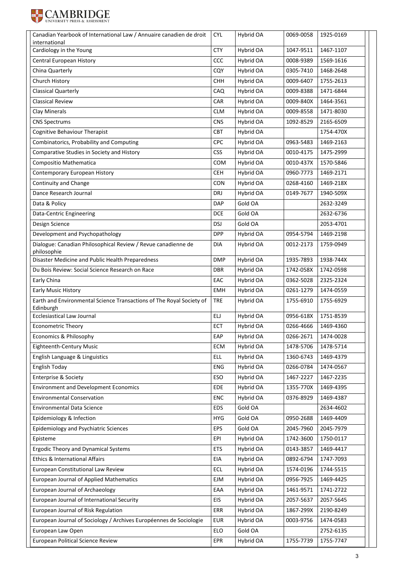

| international<br>Cardiology in the Young<br><b>CTY</b><br>Hybrid OA<br>1467-1107<br>1047-9511<br>Central European History<br>CCC<br>Hybrid OA<br>0008-9389<br>1569-1616<br>China Quarterly<br>CQY<br>Hybrid OA<br>0305-7410<br>1468-2648<br>Church History<br><b>CHH</b><br>Hybrid OA<br>0009-6407<br>1755-2613<br><b>Classical Quarterly</b><br>Hybrid OA<br>CAQ<br>0009-8388<br>1471-6844<br><b>Classical Review</b><br>CAR<br>Hybrid OA<br>0009-840X<br>1464-3561<br>Clay Minerals<br><b>CLM</b><br>Hybrid OA<br>0009-8558<br>1471-8030<br><b>CNS</b><br>Hybrid OA<br>2165-6509<br><b>CNS Spectrums</b><br>1092-8529<br>Cognitive Behaviour Therapist<br><b>CBT</b><br>Hybrid OA<br>1754-470X<br>Combinatorics, Probability and Computing<br><b>CPC</b><br>Hybrid OA<br>1469-2163<br>0963-5483<br><b>CSS</b><br>Comparative Studies in Society and History<br>Hybrid OA<br>0010-4175<br>1475-2999<br>Compositio Mathematica<br>Hybrid OA<br>1570-5846<br><b>COM</b><br>0010-437X<br>1469-2171<br>Contemporary European History<br><b>CEH</b><br>Hybrid OA<br>0960-7773<br>Continuity and Change<br><b>CON</b><br>Hybrid OA<br>0268-4160<br>1469-218X<br>Dance Research Journal<br>DRJ<br>Hybrid OA<br>1940-509X<br>0149-7677<br>Gold OA<br>2632-3249<br>Data & Policy<br><b>DAP</b><br>Gold OA<br>Data-Centric Engineering<br><b>DCE</b><br>2632-6736<br>Gold OA<br>2053-4701<br>Design Science<br><b>DSJ</b><br>Development and Psychopathology<br><b>DPP</b><br>Hybrid OA<br>0954-5794<br>1469-2198<br>Dialogue: Canadian Philosophical Review / Revue canadienne de<br>1759-0949<br>DIA<br>Hybrid OA<br>0012-2173<br>philosophie<br>Disaster Medicine and Public Health Preparedness<br><b>DMP</b><br>Hybrid OA<br>1935-7893<br>1938-744X<br>Du Bois Review: Social Science Research on Race<br><b>DBR</b><br>Hybrid OA<br>1742-0598<br>1742-058X<br>Early China<br>Hybrid OA<br>EAC<br>0362-5028<br>2325-2324<br><b>Early Music History</b><br>Hybrid OA<br>1474-0559<br><b>EMH</b><br>0261-1279<br>Earth and Environmental Science Transactions of The Royal Society of<br><b>TRE</b><br>Hybrid OA<br>1755-6929<br>1755-6910<br>Edinburgh<br><b>Ecclesiastical Law Journal</b><br>ELJ<br>1751-8539<br>Hybrid OA<br>0956-618X<br>1469-4360<br>ECT<br>Hybrid OA<br>0266-4666<br><b>Econometric Theory</b><br>EAP<br>Economics & Philosophy<br>Hybrid OA<br>0266-2671<br>1474-0028<br><b>Eighteenth-Century Music</b><br>ECM<br>Hybrid OA<br>1478-5706<br>1478-5714<br>English Language & Linguistics<br><b>ELL</b><br>1469-4379<br>Hybrid OA<br>1360-6743<br>English Today<br>Hybrid OA<br>0266-0784<br><b>ENG</b><br>1474-0567<br>Enterprise & Society<br>ESO<br>Hybrid OA<br>1467-2227<br>1467-2235<br><b>Environment and Development Economics</b><br>EDE<br>Hybrid OA<br>1355-770X<br>1469-4395<br><b>Environmental Conservation</b><br>Hybrid OA<br>1469-4387<br><b>ENC</b><br>0376-8929<br><b>Environmental Data Science</b><br>Gold OA<br><b>EDS</b><br>2634-4602<br>Epidemiology & Infection<br>Gold OA<br>1469-4409<br><b>HYG</b><br>0950-2688<br>Epidemiology and Psychiatric Sciences<br>Gold OA<br><b>EPS</b><br>2045-7979<br>2045-7960<br>1750-0117<br>Episteme<br>EPI<br>Hybrid OA<br>1742-3600<br><b>Ergodic Theory and Dynamical Systems</b><br><b>ETS</b><br>Hybrid OA<br>1469-4417<br>0143-3857<br>Ethics & International Affairs<br>EIA<br>Hybrid OA<br>0892-6794<br>1747-7093<br>European Constitutional Law Review<br><b>ECL</b><br>Hybrid OA<br>1744-5515<br>1574-0196<br>European Journal of Applied Mathematics<br>EJM<br>Hybrid OA<br>0956-7925<br>1469-4425<br>European Journal of Archaeology<br>EAA<br>Hybrid OA<br>1741-2722<br>1461-9571<br>European Journal of International Security<br>EIS<br>Hybrid OA<br>2057-5637<br>2057-5645<br>European Journal of Risk Regulation<br>Hybrid OA<br>2190-8249<br>ERR<br>1867-299X<br>European Journal of Sociology / Archives Européennes de Sociologie<br><b>EUR</b><br>Hybrid OA<br>0003-9756<br>1474-0583<br>Gold OA<br>2752-6135<br>European Law Open<br>ELO<br><b>European Political Science Review</b><br>1755-7747<br>EPR<br>Hybrid OA<br>1755-7739 | Canadian Yearbook of International Law / Annuaire canadien de droit | <b>CYL</b> | Hybrid OA | 0069-0058 | 1925-0169 |
|----------------------------------------------------------------------------------------------------------------------------------------------------------------------------------------------------------------------------------------------------------------------------------------------------------------------------------------------------------------------------------------------------------------------------------------------------------------------------------------------------------------------------------------------------------------------------------------------------------------------------------------------------------------------------------------------------------------------------------------------------------------------------------------------------------------------------------------------------------------------------------------------------------------------------------------------------------------------------------------------------------------------------------------------------------------------------------------------------------------------------------------------------------------------------------------------------------------------------------------------------------------------------------------------------------------------------------------------------------------------------------------------------------------------------------------------------------------------------------------------------------------------------------------------------------------------------------------------------------------------------------------------------------------------------------------------------------------------------------------------------------------------------------------------------------------------------------------------------------------------------------------------------------------------------------------------------------------------------------------------------------------------------------------------------------------------------------------------------------------------------------------------------------------------------------------------------------------------------------------------------------------------------------------------------------------------------------------------------------------------------------------------------------------------------------------------------------------------------------------------------------------------------------------------------------------------------------------------------------------------------------------------------------------------------------------------------------------------------------------------------------------------------------------------------------------------------------------------------------------------------------------------------------------------------------------------------------------------------------------------------------------------------------------------------------------------------------------------------------------------------------------------------------------------------------------------------------------------------------------------------------------------------------------------------------------------------------------------------------------------------------------------------------------------------------------------------------------------------------------------------------------------------------------------------------------------------------------------------------------------------------------------------------------------------------------------------------------------------------------------------------------------------------------------------------------------------------------------------------------------------------------------------------------------------------------------------------------------------------------------------------------------------------------------------------------------------------------------------------------------------------------|---------------------------------------------------------------------|------------|-----------|-----------|-----------|
|                                                                                                                                                                                                                                                                                                                                                                                                                                                                                                                                                                                                                                                                                                                                                                                                                                                                                                                                                                                                                                                                                                                                                                                                                                                                                                                                                                                                                                                                                                                                                                                                                                                                                                                                                                                                                                                                                                                                                                                                                                                                                                                                                                                                                                                                                                                                                                                                                                                                                                                                                                                                                                                                                                                                                                                                                                                                                                                                                                                                                                                                                                                                                                                                                                                                                                                                                                                                                                                                                                                                                                                                                                                                                                                                                                                                                                                                                                                                                                                                                                                                                                                                        |                                                                     |            |           |           |           |
|                                                                                                                                                                                                                                                                                                                                                                                                                                                                                                                                                                                                                                                                                                                                                                                                                                                                                                                                                                                                                                                                                                                                                                                                                                                                                                                                                                                                                                                                                                                                                                                                                                                                                                                                                                                                                                                                                                                                                                                                                                                                                                                                                                                                                                                                                                                                                                                                                                                                                                                                                                                                                                                                                                                                                                                                                                                                                                                                                                                                                                                                                                                                                                                                                                                                                                                                                                                                                                                                                                                                                                                                                                                                                                                                                                                                                                                                                                                                                                                                                                                                                                                                        |                                                                     |            |           |           |           |
|                                                                                                                                                                                                                                                                                                                                                                                                                                                                                                                                                                                                                                                                                                                                                                                                                                                                                                                                                                                                                                                                                                                                                                                                                                                                                                                                                                                                                                                                                                                                                                                                                                                                                                                                                                                                                                                                                                                                                                                                                                                                                                                                                                                                                                                                                                                                                                                                                                                                                                                                                                                                                                                                                                                                                                                                                                                                                                                                                                                                                                                                                                                                                                                                                                                                                                                                                                                                                                                                                                                                                                                                                                                                                                                                                                                                                                                                                                                                                                                                                                                                                                                                        |                                                                     |            |           |           |           |
|                                                                                                                                                                                                                                                                                                                                                                                                                                                                                                                                                                                                                                                                                                                                                                                                                                                                                                                                                                                                                                                                                                                                                                                                                                                                                                                                                                                                                                                                                                                                                                                                                                                                                                                                                                                                                                                                                                                                                                                                                                                                                                                                                                                                                                                                                                                                                                                                                                                                                                                                                                                                                                                                                                                                                                                                                                                                                                                                                                                                                                                                                                                                                                                                                                                                                                                                                                                                                                                                                                                                                                                                                                                                                                                                                                                                                                                                                                                                                                                                                                                                                                                                        |                                                                     |            |           |           |           |
|                                                                                                                                                                                                                                                                                                                                                                                                                                                                                                                                                                                                                                                                                                                                                                                                                                                                                                                                                                                                                                                                                                                                                                                                                                                                                                                                                                                                                                                                                                                                                                                                                                                                                                                                                                                                                                                                                                                                                                                                                                                                                                                                                                                                                                                                                                                                                                                                                                                                                                                                                                                                                                                                                                                                                                                                                                                                                                                                                                                                                                                                                                                                                                                                                                                                                                                                                                                                                                                                                                                                                                                                                                                                                                                                                                                                                                                                                                                                                                                                                                                                                                                                        |                                                                     |            |           |           |           |
|                                                                                                                                                                                                                                                                                                                                                                                                                                                                                                                                                                                                                                                                                                                                                                                                                                                                                                                                                                                                                                                                                                                                                                                                                                                                                                                                                                                                                                                                                                                                                                                                                                                                                                                                                                                                                                                                                                                                                                                                                                                                                                                                                                                                                                                                                                                                                                                                                                                                                                                                                                                                                                                                                                                                                                                                                                                                                                                                                                                                                                                                                                                                                                                                                                                                                                                                                                                                                                                                                                                                                                                                                                                                                                                                                                                                                                                                                                                                                                                                                                                                                                                                        |                                                                     |            |           |           |           |
|                                                                                                                                                                                                                                                                                                                                                                                                                                                                                                                                                                                                                                                                                                                                                                                                                                                                                                                                                                                                                                                                                                                                                                                                                                                                                                                                                                                                                                                                                                                                                                                                                                                                                                                                                                                                                                                                                                                                                                                                                                                                                                                                                                                                                                                                                                                                                                                                                                                                                                                                                                                                                                                                                                                                                                                                                                                                                                                                                                                                                                                                                                                                                                                                                                                                                                                                                                                                                                                                                                                                                                                                                                                                                                                                                                                                                                                                                                                                                                                                                                                                                                                                        |                                                                     |            |           |           |           |
|                                                                                                                                                                                                                                                                                                                                                                                                                                                                                                                                                                                                                                                                                                                                                                                                                                                                                                                                                                                                                                                                                                                                                                                                                                                                                                                                                                                                                                                                                                                                                                                                                                                                                                                                                                                                                                                                                                                                                                                                                                                                                                                                                                                                                                                                                                                                                                                                                                                                                                                                                                                                                                                                                                                                                                                                                                                                                                                                                                                                                                                                                                                                                                                                                                                                                                                                                                                                                                                                                                                                                                                                                                                                                                                                                                                                                                                                                                                                                                                                                                                                                                                                        |                                                                     |            |           |           |           |
|                                                                                                                                                                                                                                                                                                                                                                                                                                                                                                                                                                                                                                                                                                                                                                                                                                                                                                                                                                                                                                                                                                                                                                                                                                                                                                                                                                                                                                                                                                                                                                                                                                                                                                                                                                                                                                                                                                                                                                                                                                                                                                                                                                                                                                                                                                                                                                                                                                                                                                                                                                                                                                                                                                                                                                                                                                                                                                                                                                                                                                                                                                                                                                                                                                                                                                                                                                                                                                                                                                                                                                                                                                                                                                                                                                                                                                                                                                                                                                                                                                                                                                                                        |                                                                     |            |           |           |           |
|                                                                                                                                                                                                                                                                                                                                                                                                                                                                                                                                                                                                                                                                                                                                                                                                                                                                                                                                                                                                                                                                                                                                                                                                                                                                                                                                                                                                                                                                                                                                                                                                                                                                                                                                                                                                                                                                                                                                                                                                                                                                                                                                                                                                                                                                                                                                                                                                                                                                                                                                                                                                                                                                                                                                                                                                                                                                                                                                                                                                                                                                                                                                                                                                                                                                                                                                                                                                                                                                                                                                                                                                                                                                                                                                                                                                                                                                                                                                                                                                                                                                                                                                        |                                                                     |            |           |           |           |
|                                                                                                                                                                                                                                                                                                                                                                                                                                                                                                                                                                                                                                                                                                                                                                                                                                                                                                                                                                                                                                                                                                                                                                                                                                                                                                                                                                                                                                                                                                                                                                                                                                                                                                                                                                                                                                                                                                                                                                                                                                                                                                                                                                                                                                                                                                                                                                                                                                                                                                                                                                                                                                                                                                                                                                                                                                                                                                                                                                                                                                                                                                                                                                                                                                                                                                                                                                                                                                                                                                                                                                                                                                                                                                                                                                                                                                                                                                                                                                                                                                                                                                                                        |                                                                     |            |           |           |           |
|                                                                                                                                                                                                                                                                                                                                                                                                                                                                                                                                                                                                                                                                                                                                                                                                                                                                                                                                                                                                                                                                                                                                                                                                                                                                                                                                                                                                                                                                                                                                                                                                                                                                                                                                                                                                                                                                                                                                                                                                                                                                                                                                                                                                                                                                                                                                                                                                                                                                                                                                                                                                                                                                                                                                                                                                                                                                                                                                                                                                                                                                                                                                                                                                                                                                                                                                                                                                                                                                                                                                                                                                                                                                                                                                                                                                                                                                                                                                                                                                                                                                                                                                        |                                                                     |            |           |           |           |
|                                                                                                                                                                                                                                                                                                                                                                                                                                                                                                                                                                                                                                                                                                                                                                                                                                                                                                                                                                                                                                                                                                                                                                                                                                                                                                                                                                                                                                                                                                                                                                                                                                                                                                                                                                                                                                                                                                                                                                                                                                                                                                                                                                                                                                                                                                                                                                                                                                                                                                                                                                                                                                                                                                                                                                                                                                                                                                                                                                                                                                                                                                                                                                                                                                                                                                                                                                                                                                                                                                                                                                                                                                                                                                                                                                                                                                                                                                                                                                                                                                                                                                                                        |                                                                     |            |           |           |           |
|                                                                                                                                                                                                                                                                                                                                                                                                                                                                                                                                                                                                                                                                                                                                                                                                                                                                                                                                                                                                                                                                                                                                                                                                                                                                                                                                                                                                                                                                                                                                                                                                                                                                                                                                                                                                                                                                                                                                                                                                                                                                                                                                                                                                                                                                                                                                                                                                                                                                                                                                                                                                                                                                                                                                                                                                                                                                                                                                                                                                                                                                                                                                                                                                                                                                                                                                                                                                                                                                                                                                                                                                                                                                                                                                                                                                                                                                                                                                                                                                                                                                                                                                        |                                                                     |            |           |           |           |
|                                                                                                                                                                                                                                                                                                                                                                                                                                                                                                                                                                                                                                                                                                                                                                                                                                                                                                                                                                                                                                                                                                                                                                                                                                                                                                                                                                                                                                                                                                                                                                                                                                                                                                                                                                                                                                                                                                                                                                                                                                                                                                                                                                                                                                                                                                                                                                                                                                                                                                                                                                                                                                                                                                                                                                                                                                                                                                                                                                                                                                                                                                                                                                                                                                                                                                                                                                                                                                                                                                                                                                                                                                                                                                                                                                                                                                                                                                                                                                                                                                                                                                                                        |                                                                     |            |           |           |           |
|                                                                                                                                                                                                                                                                                                                                                                                                                                                                                                                                                                                                                                                                                                                                                                                                                                                                                                                                                                                                                                                                                                                                                                                                                                                                                                                                                                                                                                                                                                                                                                                                                                                                                                                                                                                                                                                                                                                                                                                                                                                                                                                                                                                                                                                                                                                                                                                                                                                                                                                                                                                                                                                                                                                                                                                                                                                                                                                                                                                                                                                                                                                                                                                                                                                                                                                                                                                                                                                                                                                                                                                                                                                                                                                                                                                                                                                                                                                                                                                                                                                                                                                                        |                                                                     |            |           |           |           |
|                                                                                                                                                                                                                                                                                                                                                                                                                                                                                                                                                                                                                                                                                                                                                                                                                                                                                                                                                                                                                                                                                                                                                                                                                                                                                                                                                                                                                                                                                                                                                                                                                                                                                                                                                                                                                                                                                                                                                                                                                                                                                                                                                                                                                                                                                                                                                                                                                                                                                                                                                                                                                                                                                                                                                                                                                                                                                                                                                                                                                                                                                                                                                                                                                                                                                                                                                                                                                                                                                                                                                                                                                                                                                                                                                                                                                                                                                                                                                                                                                                                                                                                                        |                                                                     |            |           |           |           |
|                                                                                                                                                                                                                                                                                                                                                                                                                                                                                                                                                                                                                                                                                                                                                                                                                                                                                                                                                                                                                                                                                                                                                                                                                                                                                                                                                                                                                                                                                                                                                                                                                                                                                                                                                                                                                                                                                                                                                                                                                                                                                                                                                                                                                                                                                                                                                                                                                                                                                                                                                                                                                                                                                                                                                                                                                                                                                                                                                                                                                                                                                                                                                                                                                                                                                                                                                                                                                                                                                                                                                                                                                                                                                                                                                                                                                                                                                                                                                                                                                                                                                                                                        |                                                                     |            |           |           |           |
|                                                                                                                                                                                                                                                                                                                                                                                                                                                                                                                                                                                                                                                                                                                                                                                                                                                                                                                                                                                                                                                                                                                                                                                                                                                                                                                                                                                                                                                                                                                                                                                                                                                                                                                                                                                                                                                                                                                                                                                                                                                                                                                                                                                                                                                                                                                                                                                                                                                                                                                                                                                                                                                                                                                                                                                                                                                                                                                                                                                                                                                                                                                                                                                                                                                                                                                                                                                                                                                                                                                                                                                                                                                                                                                                                                                                                                                                                                                                                                                                                                                                                                                                        |                                                                     |            |           |           |           |
|                                                                                                                                                                                                                                                                                                                                                                                                                                                                                                                                                                                                                                                                                                                                                                                                                                                                                                                                                                                                                                                                                                                                                                                                                                                                                                                                                                                                                                                                                                                                                                                                                                                                                                                                                                                                                                                                                                                                                                                                                                                                                                                                                                                                                                                                                                                                                                                                                                                                                                                                                                                                                                                                                                                                                                                                                                                                                                                                                                                                                                                                                                                                                                                                                                                                                                                                                                                                                                                                                                                                                                                                                                                                                                                                                                                                                                                                                                                                                                                                                                                                                                                                        |                                                                     |            |           |           |           |
|                                                                                                                                                                                                                                                                                                                                                                                                                                                                                                                                                                                                                                                                                                                                                                                                                                                                                                                                                                                                                                                                                                                                                                                                                                                                                                                                                                                                                                                                                                                                                                                                                                                                                                                                                                                                                                                                                                                                                                                                                                                                                                                                                                                                                                                                                                                                                                                                                                                                                                                                                                                                                                                                                                                                                                                                                                                                                                                                                                                                                                                                                                                                                                                                                                                                                                                                                                                                                                                                                                                                                                                                                                                                                                                                                                                                                                                                                                                                                                                                                                                                                                                                        |                                                                     |            |           |           |           |
|                                                                                                                                                                                                                                                                                                                                                                                                                                                                                                                                                                                                                                                                                                                                                                                                                                                                                                                                                                                                                                                                                                                                                                                                                                                                                                                                                                                                                                                                                                                                                                                                                                                                                                                                                                                                                                                                                                                                                                                                                                                                                                                                                                                                                                                                                                                                                                                                                                                                                                                                                                                                                                                                                                                                                                                                                                                                                                                                                                                                                                                                                                                                                                                                                                                                                                                                                                                                                                                                                                                                                                                                                                                                                                                                                                                                                                                                                                                                                                                                                                                                                                                                        |                                                                     |            |           |           |           |
|                                                                                                                                                                                                                                                                                                                                                                                                                                                                                                                                                                                                                                                                                                                                                                                                                                                                                                                                                                                                                                                                                                                                                                                                                                                                                                                                                                                                                                                                                                                                                                                                                                                                                                                                                                                                                                                                                                                                                                                                                                                                                                                                                                                                                                                                                                                                                                                                                                                                                                                                                                                                                                                                                                                                                                                                                                                                                                                                                                                                                                                                                                                                                                                                                                                                                                                                                                                                                                                                                                                                                                                                                                                                                                                                                                                                                                                                                                                                                                                                                                                                                                                                        |                                                                     |            |           |           |           |
|                                                                                                                                                                                                                                                                                                                                                                                                                                                                                                                                                                                                                                                                                                                                                                                                                                                                                                                                                                                                                                                                                                                                                                                                                                                                                                                                                                                                                                                                                                                                                                                                                                                                                                                                                                                                                                                                                                                                                                                                                                                                                                                                                                                                                                                                                                                                                                                                                                                                                                                                                                                                                                                                                                                                                                                                                                                                                                                                                                                                                                                                                                                                                                                                                                                                                                                                                                                                                                                                                                                                                                                                                                                                                                                                                                                                                                                                                                                                                                                                                                                                                                                                        |                                                                     |            |           |           |           |
|                                                                                                                                                                                                                                                                                                                                                                                                                                                                                                                                                                                                                                                                                                                                                                                                                                                                                                                                                                                                                                                                                                                                                                                                                                                                                                                                                                                                                                                                                                                                                                                                                                                                                                                                                                                                                                                                                                                                                                                                                                                                                                                                                                                                                                                                                                                                                                                                                                                                                                                                                                                                                                                                                                                                                                                                                                                                                                                                                                                                                                                                                                                                                                                                                                                                                                                                                                                                                                                                                                                                                                                                                                                                                                                                                                                                                                                                                                                                                                                                                                                                                                                                        |                                                                     |            |           |           |           |
|                                                                                                                                                                                                                                                                                                                                                                                                                                                                                                                                                                                                                                                                                                                                                                                                                                                                                                                                                                                                                                                                                                                                                                                                                                                                                                                                                                                                                                                                                                                                                                                                                                                                                                                                                                                                                                                                                                                                                                                                                                                                                                                                                                                                                                                                                                                                                                                                                                                                                                                                                                                                                                                                                                                                                                                                                                                                                                                                                                                                                                                                                                                                                                                                                                                                                                                                                                                                                                                                                                                                                                                                                                                                                                                                                                                                                                                                                                                                                                                                                                                                                                                                        |                                                                     |            |           |           |           |
|                                                                                                                                                                                                                                                                                                                                                                                                                                                                                                                                                                                                                                                                                                                                                                                                                                                                                                                                                                                                                                                                                                                                                                                                                                                                                                                                                                                                                                                                                                                                                                                                                                                                                                                                                                                                                                                                                                                                                                                                                                                                                                                                                                                                                                                                                                                                                                                                                                                                                                                                                                                                                                                                                                                                                                                                                                                                                                                                                                                                                                                                                                                                                                                                                                                                                                                                                                                                                                                                                                                                                                                                                                                                                                                                                                                                                                                                                                                                                                                                                                                                                                                                        |                                                                     |            |           |           |           |
|                                                                                                                                                                                                                                                                                                                                                                                                                                                                                                                                                                                                                                                                                                                                                                                                                                                                                                                                                                                                                                                                                                                                                                                                                                                                                                                                                                                                                                                                                                                                                                                                                                                                                                                                                                                                                                                                                                                                                                                                                                                                                                                                                                                                                                                                                                                                                                                                                                                                                                                                                                                                                                                                                                                                                                                                                                                                                                                                                                                                                                                                                                                                                                                                                                                                                                                                                                                                                                                                                                                                                                                                                                                                                                                                                                                                                                                                                                                                                                                                                                                                                                                                        |                                                                     |            |           |           |           |
|                                                                                                                                                                                                                                                                                                                                                                                                                                                                                                                                                                                                                                                                                                                                                                                                                                                                                                                                                                                                                                                                                                                                                                                                                                                                                                                                                                                                                                                                                                                                                                                                                                                                                                                                                                                                                                                                                                                                                                                                                                                                                                                                                                                                                                                                                                                                                                                                                                                                                                                                                                                                                                                                                                                                                                                                                                                                                                                                                                                                                                                                                                                                                                                                                                                                                                                                                                                                                                                                                                                                                                                                                                                                                                                                                                                                                                                                                                                                                                                                                                                                                                                                        |                                                                     |            |           |           |           |
|                                                                                                                                                                                                                                                                                                                                                                                                                                                                                                                                                                                                                                                                                                                                                                                                                                                                                                                                                                                                                                                                                                                                                                                                                                                                                                                                                                                                                                                                                                                                                                                                                                                                                                                                                                                                                                                                                                                                                                                                                                                                                                                                                                                                                                                                                                                                                                                                                                                                                                                                                                                                                                                                                                                                                                                                                                                                                                                                                                                                                                                                                                                                                                                                                                                                                                                                                                                                                                                                                                                                                                                                                                                                                                                                                                                                                                                                                                                                                                                                                                                                                                                                        |                                                                     |            |           |           |           |
|                                                                                                                                                                                                                                                                                                                                                                                                                                                                                                                                                                                                                                                                                                                                                                                                                                                                                                                                                                                                                                                                                                                                                                                                                                                                                                                                                                                                                                                                                                                                                                                                                                                                                                                                                                                                                                                                                                                                                                                                                                                                                                                                                                                                                                                                                                                                                                                                                                                                                                                                                                                                                                                                                                                                                                                                                                                                                                                                                                                                                                                                                                                                                                                                                                                                                                                                                                                                                                                                                                                                                                                                                                                                                                                                                                                                                                                                                                                                                                                                                                                                                                                                        |                                                                     |            |           |           |           |
|                                                                                                                                                                                                                                                                                                                                                                                                                                                                                                                                                                                                                                                                                                                                                                                                                                                                                                                                                                                                                                                                                                                                                                                                                                                                                                                                                                                                                                                                                                                                                                                                                                                                                                                                                                                                                                                                                                                                                                                                                                                                                                                                                                                                                                                                                                                                                                                                                                                                                                                                                                                                                                                                                                                                                                                                                                                                                                                                                                                                                                                                                                                                                                                                                                                                                                                                                                                                                                                                                                                                                                                                                                                                                                                                                                                                                                                                                                                                                                                                                                                                                                                                        |                                                                     |            |           |           |           |
|                                                                                                                                                                                                                                                                                                                                                                                                                                                                                                                                                                                                                                                                                                                                                                                                                                                                                                                                                                                                                                                                                                                                                                                                                                                                                                                                                                                                                                                                                                                                                                                                                                                                                                                                                                                                                                                                                                                                                                                                                                                                                                                                                                                                                                                                                                                                                                                                                                                                                                                                                                                                                                                                                                                                                                                                                                                                                                                                                                                                                                                                                                                                                                                                                                                                                                                                                                                                                                                                                                                                                                                                                                                                                                                                                                                                                                                                                                                                                                                                                                                                                                                                        |                                                                     |            |           |           |           |
|                                                                                                                                                                                                                                                                                                                                                                                                                                                                                                                                                                                                                                                                                                                                                                                                                                                                                                                                                                                                                                                                                                                                                                                                                                                                                                                                                                                                                                                                                                                                                                                                                                                                                                                                                                                                                                                                                                                                                                                                                                                                                                                                                                                                                                                                                                                                                                                                                                                                                                                                                                                                                                                                                                                                                                                                                                                                                                                                                                                                                                                                                                                                                                                                                                                                                                                                                                                                                                                                                                                                                                                                                                                                                                                                                                                                                                                                                                                                                                                                                                                                                                                                        |                                                                     |            |           |           |           |
|                                                                                                                                                                                                                                                                                                                                                                                                                                                                                                                                                                                                                                                                                                                                                                                                                                                                                                                                                                                                                                                                                                                                                                                                                                                                                                                                                                                                                                                                                                                                                                                                                                                                                                                                                                                                                                                                                                                                                                                                                                                                                                                                                                                                                                                                                                                                                                                                                                                                                                                                                                                                                                                                                                                                                                                                                                                                                                                                                                                                                                                                                                                                                                                                                                                                                                                                                                                                                                                                                                                                                                                                                                                                                                                                                                                                                                                                                                                                                                                                                                                                                                                                        |                                                                     |            |           |           |           |
|                                                                                                                                                                                                                                                                                                                                                                                                                                                                                                                                                                                                                                                                                                                                                                                                                                                                                                                                                                                                                                                                                                                                                                                                                                                                                                                                                                                                                                                                                                                                                                                                                                                                                                                                                                                                                                                                                                                                                                                                                                                                                                                                                                                                                                                                                                                                                                                                                                                                                                                                                                                                                                                                                                                                                                                                                                                                                                                                                                                                                                                                                                                                                                                                                                                                                                                                                                                                                                                                                                                                                                                                                                                                                                                                                                                                                                                                                                                                                                                                                                                                                                                                        |                                                                     |            |           |           |           |
|                                                                                                                                                                                                                                                                                                                                                                                                                                                                                                                                                                                                                                                                                                                                                                                                                                                                                                                                                                                                                                                                                                                                                                                                                                                                                                                                                                                                                                                                                                                                                                                                                                                                                                                                                                                                                                                                                                                                                                                                                                                                                                                                                                                                                                                                                                                                                                                                                                                                                                                                                                                                                                                                                                                                                                                                                                                                                                                                                                                                                                                                                                                                                                                                                                                                                                                                                                                                                                                                                                                                                                                                                                                                                                                                                                                                                                                                                                                                                                                                                                                                                                                                        |                                                                     |            |           |           |           |
|                                                                                                                                                                                                                                                                                                                                                                                                                                                                                                                                                                                                                                                                                                                                                                                                                                                                                                                                                                                                                                                                                                                                                                                                                                                                                                                                                                                                                                                                                                                                                                                                                                                                                                                                                                                                                                                                                                                                                                                                                                                                                                                                                                                                                                                                                                                                                                                                                                                                                                                                                                                                                                                                                                                                                                                                                                                                                                                                                                                                                                                                                                                                                                                                                                                                                                                                                                                                                                                                                                                                                                                                                                                                                                                                                                                                                                                                                                                                                                                                                                                                                                                                        |                                                                     |            |           |           |           |
|                                                                                                                                                                                                                                                                                                                                                                                                                                                                                                                                                                                                                                                                                                                                                                                                                                                                                                                                                                                                                                                                                                                                                                                                                                                                                                                                                                                                                                                                                                                                                                                                                                                                                                                                                                                                                                                                                                                                                                                                                                                                                                                                                                                                                                                                                                                                                                                                                                                                                                                                                                                                                                                                                                                                                                                                                                                                                                                                                                                                                                                                                                                                                                                                                                                                                                                                                                                                                                                                                                                                                                                                                                                                                                                                                                                                                                                                                                                                                                                                                                                                                                                                        |                                                                     |            |           |           |           |
|                                                                                                                                                                                                                                                                                                                                                                                                                                                                                                                                                                                                                                                                                                                                                                                                                                                                                                                                                                                                                                                                                                                                                                                                                                                                                                                                                                                                                                                                                                                                                                                                                                                                                                                                                                                                                                                                                                                                                                                                                                                                                                                                                                                                                                                                                                                                                                                                                                                                                                                                                                                                                                                                                                                                                                                                                                                                                                                                                                                                                                                                                                                                                                                                                                                                                                                                                                                                                                                                                                                                                                                                                                                                                                                                                                                                                                                                                                                                                                                                                                                                                                                                        |                                                                     |            |           |           |           |
|                                                                                                                                                                                                                                                                                                                                                                                                                                                                                                                                                                                                                                                                                                                                                                                                                                                                                                                                                                                                                                                                                                                                                                                                                                                                                                                                                                                                                                                                                                                                                                                                                                                                                                                                                                                                                                                                                                                                                                                                                                                                                                                                                                                                                                                                                                                                                                                                                                                                                                                                                                                                                                                                                                                                                                                                                                                                                                                                                                                                                                                                                                                                                                                                                                                                                                                                                                                                                                                                                                                                                                                                                                                                                                                                                                                                                                                                                                                                                                                                                                                                                                                                        |                                                                     |            |           |           |           |
|                                                                                                                                                                                                                                                                                                                                                                                                                                                                                                                                                                                                                                                                                                                                                                                                                                                                                                                                                                                                                                                                                                                                                                                                                                                                                                                                                                                                                                                                                                                                                                                                                                                                                                                                                                                                                                                                                                                                                                                                                                                                                                                                                                                                                                                                                                                                                                                                                                                                                                                                                                                                                                                                                                                                                                                                                                                                                                                                                                                                                                                                                                                                                                                                                                                                                                                                                                                                                                                                                                                                                                                                                                                                                                                                                                                                                                                                                                                                                                                                                                                                                                                                        |                                                                     |            |           |           |           |
|                                                                                                                                                                                                                                                                                                                                                                                                                                                                                                                                                                                                                                                                                                                                                                                                                                                                                                                                                                                                                                                                                                                                                                                                                                                                                                                                                                                                                                                                                                                                                                                                                                                                                                                                                                                                                                                                                                                                                                                                                                                                                                                                                                                                                                                                                                                                                                                                                                                                                                                                                                                                                                                                                                                                                                                                                                                                                                                                                                                                                                                                                                                                                                                                                                                                                                                                                                                                                                                                                                                                                                                                                                                                                                                                                                                                                                                                                                                                                                                                                                                                                                                                        |                                                                     |            |           |           |           |
|                                                                                                                                                                                                                                                                                                                                                                                                                                                                                                                                                                                                                                                                                                                                                                                                                                                                                                                                                                                                                                                                                                                                                                                                                                                                                                                                                                                                                                                                                                                                                                                                                                                                                                                                                                                                                                                                                                                                                                                                                                                                                                                                                                                                                                                                                                                                                                                                                                                                                                                                                                                                                                                                                                                                                                                                                                                                                                                                                                                                                                                                                                                                                                                                                                                                                                                                                                                                                                                                                                                                                                                                                                                                                                                                                                                                                                                                                                                                                                                                                                                                                                                                        |                                                                     |            |           |           |           |
|                                                                                                                                                                                                                                                                                                                                                                                                                                                                                                                                                                                                                                                                                                                                                                                                                                                                                                                                                                                                                                                                                                                                                                                                                                                                                                                                                                                                                                                                                                                                                                                                                                                                                                                                                                                                                                                                                                                                                                                                                                                                                                                                                                                                                                                                                                                                                                                                                                                                                                                                                                                                                                                                                                                                                                                                                                                                                                                                                                                                                                                                                                                                                                                                                                                                                                                                                                                                                                                                                                                                                                                                                                                                                                                                                                                                                                                                                                                                                                                                                                                                                                                                        |                                                                     |            |           |           |           |
|                                                                                                                                                                                                                                                                                                                                                                                                                                                                                                                                                                                                                                                                                                                                                                                                                                                                                                                                                                                                                                                                                                                                                                                                                                                                                                                                                                                                                                                                                                                                                                                                                                                                                                                                                                                                                                                                                                                                                                                                                                                                                                                                                                                                                                                                                                                                                                                                                                                                                                                                                                                                                                                                                                                                                                                                                                                                                                                                                                                                                                                                                                                                                                                                                                                                                                                                                                                                                                                                                                                                                                                                                                                                                                                                                                                                                                                                                                                                                                                                                                                                                                                                        |                                                                     |            |           |           |           |
|                                                                                                                                                                                                                                                                                                                                                                                                                                                                                                                                                                                                                                                                                                                                                                                                                                                                                                                                                                                                                                                                                                                                                                                                                                                                                                                                                                                                                                                                                                                                                                                                                                                                                                                                                                                                                                                                                                                                                                                                                                                                                                                                                                                                                                                                                                                                                                                                                                                                                                                                                                                                                                                                                                                                                                                                                                                                                                                                                                                                                                                                                                                                                                                                                                                                                                                                                                                                                                                                                                                                                                                                                                                                                                                                                                                                                                                                                                                                                                                                                                                                                                                                        |                                                                     |            |           |           |           |
|                                                                                                                                                                                                                                                                                                                                                                                                                                                                                                                                                                                                                                                                                                                                                                                                                                                                                                                                                                                                                                                                                                                                                                                                                                                                                                                                                                                                                                                                                                                                                                                                                                                                                                                                                                                                                                                                                                                                                                                                                                                                                                                                                                                                                                                                                                                                                                                                                                                                                                                                                                                                                                                                                                                                                                                                                                                                                                                                                                                                                                                                                                                                                                                                                                                                                                                                                                                                                                                                                                                                                                                                                                                                                                                                                                                                                                                                                                                                                                                                                                                                                                                                        |                                                                     |            |           |           |           |
|                                                                                                                                                                                                                                                                                                                                                                                                                                                                                                                                                                                                                                                                                                                                                                                                                                                                                                                                                                                                                                                                                                                                                                                                                                                                                                                                                                                                                                                                                                                                                                                                                                                                                                                                                                                                                                                                                                                                                                                                                                                                                                                                                                                                                                                                                                                                                                                                                                                                                                                                                                                                                                                                                                                                                                                                                                                                                                                                                                                                                                                                                                                                                                                                                                                                                                                                                                                                                                                                                                                                                                                                                                                                                                                                                                                                                                                                                                                                                                                                                                                                                                                                        |                                                                     |            |           |           |           |
|                                                                                                                                                                                                                                                                                                                                                                                                                                                                                                                                                                                                                                                                                                                                                                                                                                                                                                                                                                                                                                                                                                                                                                                                                                                                                                                                                                                                                                                                                                                                                                                                                                                                                                                                                                                                                                                                                                                                                                                                                                                                                                                                                                                                                                                                                                                                                                                                                                                                                                                                                                                                                                                                                                                                                                                                                                                                                                                                                                                                                                                                                                                                                                                                                                                                                                                                                                                                                                                                                                                                                                                                                                                                                                                                                                                                                                                                                                                                                                                                                                                                                                                                        |                                                                     |            |           |           |           |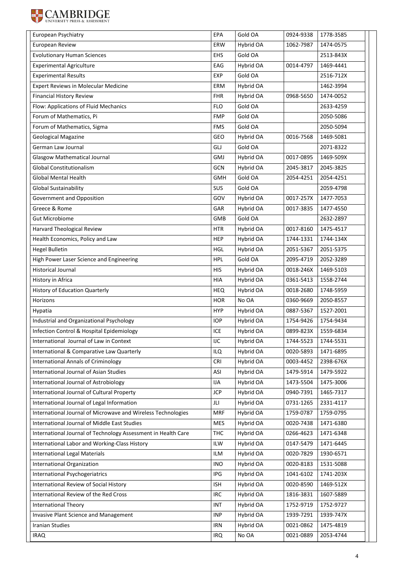

| European Psychiatry                                           | EPA        | Gold OA   | 0924-9338 | 1778-3585 |
|---------------------------------------------------------------|------------|-----------|-----------|-----------|
| European Review                                               | ERW        | Hybrid OA | 1062-7987 | 1474-0575 |
| <b>Evolutionary Human Sciences</b>                            | <b>EHS</b> | Gold OA   |           | 2513-843X |
| <b>Experimental Agriculture</b>                               | EAG        | Hybrid OA | 0014-4797 | 1469-4441 |
| <b>Experimental Results</b>                                   | EXP        | Gold OA   |           | 2516-712X |
| <b>Expert Reviews in Molecular Medicine</b>                   | ERM        | Hybrid OA |           | 1462-3994 |
| <b>Financial History Review</b>                               | <b>FHR</b> | Hybrid OA | 0968-5650 | 1474-0052 |
| Flow: Applications of Fluid Mechanics                         | <b>FLO</b> | Gold OA   |           | 2633-4259 |
| Forum of Mathematics, Pi                                      | <b>FMP</b> | Gold OA   |           | 2050-5086 |
| Forum of Mathematics, Sigma                                   | <b>FMS</b> | Gold OA   |           | 2050-5094 |
| Geological Magazine                                           | GEO        | Hybrid OA | 0016-7568 | 1469-5081 |
| German Law Journal                                            | GLJ        | Gold OA   |           | 2071-8322 |
| <b>Glasgow Mathematical Journal</b>                           | GMJ        | Hybrid OA | 0017-0895 | 1469-509X |
| Global Constitutionalism                                      | GCN        | Hybrid OA | 2045-3817 | 2045-3825 |
| <b>Global Mental Health</b>                                   | GMH        | Gold OA   | 2054-4251 | 2054-4251 |
| <b>Global Sustainability</b>                                  | SUS        | Gold OA   |           | 2059-4798 |
| Government and Opposition                                     | GOV        | Hybrid OA | 0017-257X | 1477-7053 |
| Greece & Rome                                                 | GAR        | Hybrid OA | 0017-3835 | 1477-4550 |
| <b>Gut Microbiome</b>                                         | GMB        | Gold OA   |           | 2632-2897 |
| <b>Harvard Theological Review</b>                             | <b>HTR</b> | Hybrid OA | 0017-8160 | 1475-4517 |
| Health Economics, Policy and Law                              | <b>HEP</b> | Hybrid OA | 1744-1331 | 1744-134X |
| <b>Hegel Bulletin</b>                                         | <b>HGL</b> | Hybrid OA | 2051-5367 | 2051-5375 |
| High Power Laser Science and Engineering                      | <b>HPL</b> | Gold OA   | 2095-4719 | 2052-3289 |
| <b>Historical Journal</b>                                     | <b>HIS</b> | Hybrid OA | 0018-246X | 1469-5103 |
| History in Africa                                             | <b>HIA</b> | Hybrid OA | 0361-5413 | 1558-2744 |
| History of Education Quarterly                                | <b>HEQ</b> | Hybrid OA | 0018-2680 | 1748-5959 |
| Horizons                                                      | <b>HOR</b> | No OA     | 0360-9669 | 2050-8557 |
| Hypatia                                                       | <b>HYP</b> | Hybrid OA | 0887-5367 | 1527-2001 |
| Industrial and Organizational Psychology                      | <b>IOP</b> | Hybrid OA | 1754-9426 | 1754-9434 |
| Infection Control & Hospital Epidemiology                     | <b>ICE</b> | Hybrid OA | 0899-823X | 1559-6834 |
| International Journal of Law in Context                       | IJC        | Hybrid OA | 1744-5523 | 1744-5531 |
| International & Comparative Law Quarterly                     | <b>ILQ</b> | Hybrid OA | 0020-5893 | 1471-6895 |
| <b>International Annals of Criminology</b>                    | CRI        | Hybrid OA | 0003-4452 | 2398-676X |
| International Journal of Asian Studies                        | ASI        | Hybrid OA | 1479-5914 | 1479-5922 |
| International Journal of Astrobiology                         | <b>IJA</b> | Hybrid OA | 1473-5504 | 1475-3006 |
| International Journal of Cultural Property                    | <b>JCP</b> | Hybrid OA | 0940-7391 | 1465-7317 |
| International Journal of Legal Information                    | JLI        | Hybrid OA | 0731-1265 | 2331-4117 |
| International Journal of Microwave and Wireless Technologies  | <b>MRF</b> | Hybrid OA | 1759-0787 | 1759-0795 |
| International Journal of Middle East Studies                  | <b>MES</b> | Hybrid OA | 0020-7438 | 1471-6380 |
| International Journal of Technology Assessment in Health Care | <b>THC</b> | Hybrid OA | 0266-4623 | 1471-6348 |
| International Labor and Working-Class History                 | <b>ILW</b> | Hybrid OA | 0147-5479 | 1471-6445 |
| <b>International Legal Materials</b>                          | <b>ILM</b> | Hybrid OA | 0020-7829 | 1930-6571 |
| International Organization                                    | <b>INO</b> | Hybrid OA | 0020-8183 | 1531-5088 |
| International Psychogeriatrics                                | <b>IPG</b> | Hybrid OA | 1041-6102 | 1741-203X |
| International Review of Social History                        | <b>ISH</b> | Hybrid OA | 0020-8590 | 1469-512X |
| International Review of the Red Cross                         | <b>IRC</b> | Hybrid OA | 1816-3831 | 1607-5889 |
| <b>International Theory</b>                                   | <b>INT</b> | Hybrid OA | 1752-9719 | 1752-9727 |
| Invasive Plant Science and Management                         | <b>INP</b> | Hybrid OA | 1939-7291 | 1939-747X |
| Iranian Studies                                               | <b>IRN</b> | Hybrid OA | 0021-0862 | 1475-4819 |
| <b>IRAQ</b>                                                   | <b>IRQ</b> | No OA     | 0021-0889 | 2053-4744 |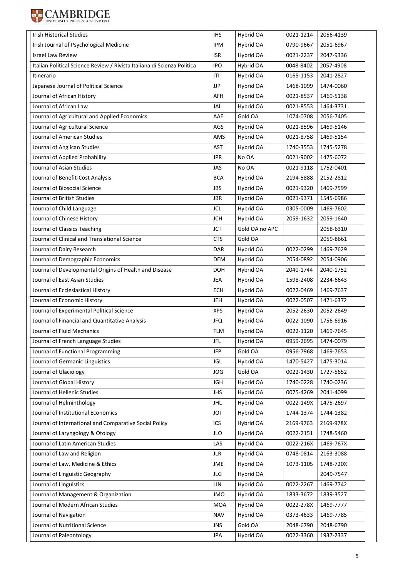

| <b>Irish Historical Studies</b>                                         | <b>IHS</b> | Hybrid OA      | 0021-1214 | 2056-4139 |
|-------------------------------------------------------------------------|------------|----------------|-----------|-----------|
| Irish Journal of Psychological Medicine                                 | <b>IPM</b> | Hybrid OA      | 0790-9667 | 2051-6967 |
| <b>Israel Law Review</b>                                                | <b>ISR</b> | Hybrid OA      | 0021-2237 | 2047-9336 |
| Italian Political Science Review / Rivista Italiana di Scienza Politica | <b>IPO</b> | Hybrid OA      | 0048-8402 | 2057-4908 |
| Itinerario                                                              | ITI        | Hybrid OA      | 0165-1153 | 2041-2827 |
| Japanese Journal of Political Science                                   | <b>JJP</b> | Hybrid OA      | 1468-1099 | 1474-0060 |
| Journal of African History                                              | AFH        | Hybrid OA      | 0021-8537 | 1469-5138 |
| Journal of African Law                                                  | JAL        | Hybrid OA      | 0021-8553 | 1464-3731 |
| Journal of Agricultural and Applied Economics                           | AAE        | Gold OA        | 1074-0708 | 2056-7405 |
| Journal of Agricultural Science                                         | AGS        | Hybrid OA      | 0021-8596 | 1469-5146 |
| Journal of American Studies                                             | AMS        | Hybrid OA      | 0021-8758 | 1469-5154 |
| Journal of Anglican Studies                                             | AST        | Hybrid OA      | 1740-3553 | 1745-5278 |
| Journal of Applied Probability                                          | <b>JPR</b> | No OA          | 0021-9002 | 1475-6072 |
| Journal of Asian Studies                                                | <b>JAS</b> | No OA          | 0021-9118 | 1752-0401 |
| Journal of Benefit-Cost Analysis                                        | <b>BCA</b> | Hybrid OA      | 2194-5888 | 2152-2812 |
| Journal of Biosocial Science                                            | <b>JBS</b> | Hybrid OA      | 0021-9320 | 1469-7599 |
| Journal of British Studies                                              | <b>JBR</b> | Hybrid OA      | 0021-9371 | 1545-6986 |
| Journal of Child Language                                               | <b>JCL</b> | Hybrid OA      | 0305-0009 | 1469-7602 |
| Journal of Chinese History                                              | <b>JCH</b> | Hybrid OA      | 2059-1632 | 2059-1640 |
| Journal of Classics Teaching                                            | <b>JCT</b> | Gold OA no APC |           | 2058-6310 |
| Journal of Clinical and Translational Science                           | <b>CTS</b> | Gold OA        |           | 2059-8661 |
| Journal of Dairy Research                                               | DAR        | Hybrid OA      | 0022-0299 | 1469-7629 |
| Journal of Demographic Economics                                        | <b>DEM</b> | Hybrid OA      | 2054-0892 | 2054-0906 |
| Journal of Developmental Origins of Health and Disease                  | DOH        | Hybrid OA      | 2040-1744 | 2040-1752 |
| Journal of East Asian Studies                                           | <b>JEA</b> | Hybrid OA      | 1598-2408 | 2234-6643 |
| Journal of Ecclesiastical History                                       | <b>ECH</b> | Hybrid OA      | 0022-0469 | 1469-7637 |
| Journal of Economic History                                             | <b>JEH</b> | Hybrid OA      | 0022-0507 | 1471-6372 |
| Journal of Experimental Political Science                               | <b>XPS</b> | Hybrid OA      | 2052-2630 | 2052-2649 |
| Journal of Financial and Quantitative Analysis                          | <b>JFQ</b> | Hybrid OA      | 0022-1090 | 1756-6916 |
| Journal of Fluid Mechanics                                              | <b>FLM</b> | Hybrid OA      | 0022-1120 | 1469-7645 |
| Journal of French Language Studies                                      | <b>JFL</b> | Hybrid OA      | 0959-2695 | 1474-0079 |
| Journal of Functional Programming                                       | <b>JFP</b> | Gold OA        | 0956-7968 | 1469-7653 |
| Journal of Germanic Linguistics                                         | <b>JGL</b> | Hybrid OA      | 1470-5427 | 1475-3014 |
| Journal of Glaciology                                                   | <b>JOG</b> | Gold OA        | 0022-1430 | 1727-5652 |
| Journal of Global History                                               | <b>JGH</b> | Hybrid OA      | 1740-0228 | 1740-0236 |
| Journal of Hellenic Studies                                             | <b>JHS</b> | Hybrid OA      | 0075-4269 | 2041-4099 |
| Journal of Helminthology                                                | JHL        | Hybrid OA      | 0022-149X | 1475-2697 |
| Journal of Institutional Economics                                      | JOI        | Hybrid OA      | 1744-1374 | 1744-1382 |
| Journal of International and Comparative Social Policy                  | ICS        | Hybrid OA      | 2169-9763 | 2169-978X |
| Journal of Laryngology & Otology                                        | JLO        | Hybrid OA      | 0022-2151 | 1748-5460 |
| Journal of Latin American Studies                                       | LAS        | Hybrid OA      | 0022-216X | 1469-767X |
| Journal of Law and Religion                                             | <b>JLR</b> | Hybrid OA      | 0748-0814 | 2163-3088 |
| Journal of Law, Medicine & Ethics                                       | JME        | Hybrid OA      | 1073-1105 | 1748-720X |
| Journal of Linguistic Geography                                         | JLG        | Hybrid OA      |           | 2049-7547 |
| Journal of Linguistics                                                  | LIN        | Hybrid OA      | 0022-2267 | 1469-7742 |
| Journal of Management & Organization                                    | <b>JMO</b> | Hybrid OA      | 1833-3672 | 1839-3527 |
| Journal of Modern African Studies                                       | MOA        | Hybrid OA      | 0022-278X | 1469-7777 |
| Journal of Navigation                                                   | <b>NAV</b> | Hybrid OA      | 0373-4633 | 1469-7785 |
| Journal of Nutritional Science                                          | <b>JNS</b> | Gold OA        | 2048-6790 | 2048-6790 |
| Journal of Paleontology                                                 | <b>JPA</b> | Hybrid OA      | 0022-3360 | 1937-2337 |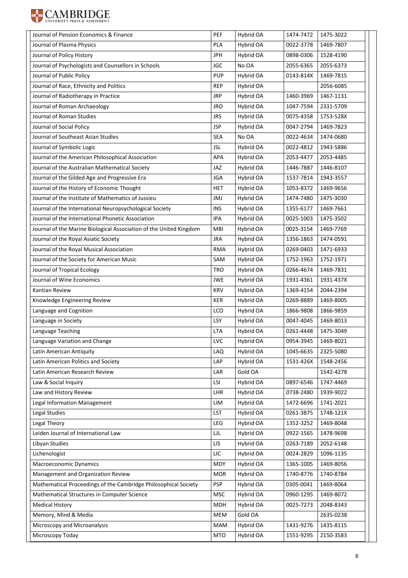

| Journal of Pension Economics & Finance                             | PEF        | Hybrid OA | 1474-7472 | 1475-3022 |
|--------------------------------------------------------------------|------------|-----------|-----------|-----------|
| Journal of Plasma Physics                                          | PLA        | Hybrid OA | 0022-3778 | 1469-7807 |
| Journal of Policy History                                          | <b>JPH</b> | Hybrid OA | 0898-0306 | 1528-4190 |
| Journal of Psychologists and Counsellors in Schools                | <b>JGC</b> | No OA     | 2055-6365 | 2055-6373 |
| Journal of Public Policy                                           | <b>PUP</b> | Hybrid OA | 0143-814X | 1469-7815 |
| Journal of Race, Ethnicity and Politics                            | <b>REP</b> | Hybrid OA |           | 2056-6085 |
| Journal of Radiotherapy in Practice                                | <b>JRP</b> | Hybrid OA | 1460-3969 | 1467-1131 |
| Journal of Roman Archaeology                                       | <b>JRO</b> | Hybrid OA | 1047-7594 | 2331-5709 |
| Journal of Roman Studies                                           | <b>JRS</b> | Hybrid OA | 0075-4358 | 1753-528X |
| Journal of Social Policy                                           | <b>JSP</b> | Hybrid OA | 0047-2794 | 1469-7823 |
| Journal of Southeast Asian Studies                                 | <b>SEA</b> | No OA     | 0022-4634 | 1474-0680 |
| Journal of Symbolic Logic                                          | <b>JSL</b> | Hybrid OA | 0022-4812 | 1943-5886 |
| Journal of the American Philosophical Association                  | APA        | Hybrid OA | 2053-4477 | 2053-4485 |
| Journal of the Australian Mathematical Society                     | JAZ        | Hybrid OA | 1446-7887 | 1446-8107 |
| Journal of the Gilded Age and Progressive Era                      | <b>JGA</b> | Hybrid OA | 1537-7814 | 1943-3557 |
| Journal of the History of Economic Thought                         | <b>HET</b> | Hybrid OA | 1053-8372 | 1469-9656 |
| Journal of the Institute of Mathematics of Jussieu                 | JMJ        | Hybrid OA | 1474-7480 | 1475-3030 |
| Journal of the International Neuropsychological Society            | <b>INS</b> | Hybrid OA | 1355-6177 | 1469-7661 |
| Journal of the International Phonetic Association                  | <b>IPA</b> | Hybrid OA | 0025-1003 | 1475-3502 |
| Journal of the Marine Biological Association of the United Kingdom | <b>MBI</b> | Hybrid OA | 0025-3154 | 1469-7769 |
| Journal of the Royal Asiatic Society                               | <b>JRA</b> | Hybrid OA | 1356-1863 | 1474-0591 |
| Journal of the Royal Musical Association                           | <b>RMA</b> | Hybrid OA | 0269-0403 | 1471-6933 |
| Journal of the Society for American Music                          | SAM        | Hybrid OA | 1752-1963 | 1752-1971 |
| Journal of Tropical Ecology                                        | <b>TRO</b> | Hybrid OA | 0266-4674 | 1469-7831 |
| Journal of Wine Economics                                          | <b>JWE</b> | Hybrid OA | 1931-4361 | 1931-437X |
| Kantian Review                                                     | <b>KRV</b> | Hybrid OA | 1369-4154 | 2044-2394 |
| Knowledge Engineering Review                                       | <b>KER</b> | Hybrid OA | 0269-8889 | 1469-8005 |
| Language and Cognition                                             | LCO        | Hybrid OA | 1866-9808 | 1866-9859 |
| Language in Society                                                | LSY        | Hybrid OA | 0047-4045 | 1469-8013 |
| Language Teaching                                                  | <b>LTA</b> | Hybrid OA | 0261-4448 | 1475-3049 |
| Language Variation and Change                                      | LVC        | Hybrid OA | 0954-3945 | 1469-8021 |
| Latin American Antiquity                                           | LAQ        | Hybrid OA | 1045-6635 | 2325-5080 |
| Latin American Politics and Society                                | LAP        | Hybrid OA | 1531-426X | 1548-2456 |
| Latin American Research Review                                     | LAR        | Gold OA   |           | 1542-4278 |
| Law & Social Inquiry                                               | LSI        | Hybrid OA | 0897-6546 | 1747-4469 |
| Law and History Review                                             | LHR        | Hybrid OA | 0738-2480 | 1939-9022 |
| Legal Information Management                                       | LIM        | Hybrid OA | 1472-6696 | 1741-2021 |
| Legal Studies                                                      | LST        | Hybrid OA | 0261-3875 | 1748-121X |
| Legal Theory                                                       | LEG        | Hybrid OA | 1352-3252 | 1469-8048 |
| Leiden Journal of International Law                                | LJL        | Hybrid OA | 0922-1565 | 1478-9698 |
| Libyan Studies                                                     | LIS        | Hybrid OA | 0263-7189 | 2052-6148 |
| Lichenologist                                                      | LIC        | Hybrid OA | 0024-2829 | 1096-1135 |
| Macroeconomic Dynamics                                             | <b>MDY</b> | Hybrid OA | 1365-1005 | 1469-8056 |
| Management and Organization Review                                 | <b>MOR</b> | Hybrid OA | 1740-8776 | 1740-8784 |
| Mathematical Proceedings of the Cambridge Philosophical Society    | <b>PSP</b> | Hybrid OA | 0305-0041 | 1469-8064 |
| Mathematical Structures in Computer Science                        | <b>MSC</b> | Hybrid OA | 0960-1295 | 1469-8072 |
| <b>Medical History</b>                                             | <b>MDH</b> | Hybrid OA | 0025-7273 | 2048-8343 |
| Memory, Mind & Media                                               | MEM        | Gold OA   |           | 2635-0238 |
| Microscopy and Microanalysis                                       | <b>MAM</b> | Hybrid OA | 1431-9276 | 1435-8115 |
| Microscopy Today                                                   | <b>MTO</b> | Hybrid OA | 1551-9295 | 2150-3583 |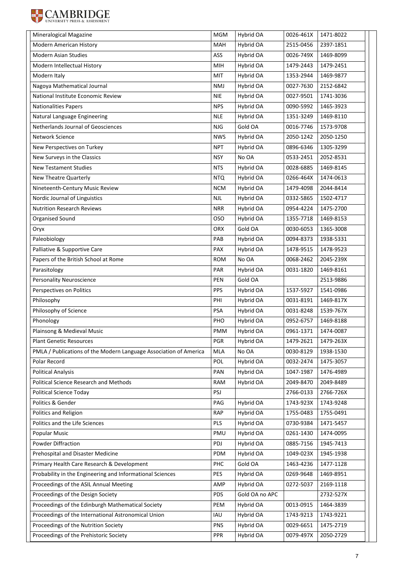

| Mineralogical Magazine                                            | <b>MGM</b> | Hybrid OA      | 0026-461X | 1471-8022 |
|-------------------------------------------------------------------|------------|----------------|-----------|-----------|
| Modern American History                                           | MAH        | Hybrid OA      | 2515-0456 | 2397-1851 |
| <b>Modern Asian Studies</b>                                       | ASS        | Hybrid OA      | 0026-749X | 1469-8099 |
| Modern Intellectual History                                       | MIH        | Hybrid OA      | 1479-2443 | 1479-2451 |
| Modern Italy                                                      | MIT        | Hybrid OA      | 1353-2944 | 1469-9877 |
| Nagoya Mathematical Journal                                       | <b>NMJ</b> | Hybrid OA      | 0027-7630 | 2152-6842 |
| National Institute Economic Review                                | <b>NIE</b> | Hybrid OA      | 0027-9501 | 1741-3036 |
| <b>Nationalities Papers</b>                                       | <b>NPS</b> | Hybrid OA      | 0090-5992 | 1465-3923 |
| Natural Language Engineering                                      | <b>NLE</b> | Hybrid OA      | 1351-3249 | 1469-8110 |
| Netherlands Journal of Geosciences                                | <b>NJG</b> | Gold OA        | 0016-7746 | 1573-9708 |
| Network Science                                                   | <b>NWS</b> | Hybrid OA      | 2050-1242 | 2050-1250 |
| New Perspectives on Turkey                                        | <b>NPT</b> | Hybrid OA      | 0896-6346 | 1305-3299 |
| New Surveys in the Classics                                       | <b>NSY</b> | No OA          | 0533-2451 | 2052-8531 |
| <b>New Testament Studies</b>                                      | <b>NTS</b> | Hybrid OA      | 0028-6885 | 1469-8145 |
| <b>New Theatre Quarterly</b>                                      | NTQ        | Hybrid OA      | 0266-464X | 1474-0613 |
| Nineteenth-Century Music Review                                   | <b>NCM</b> | Hybrid OA      |           | 2044-8414 |
|                                                                   |            | Hybrid OA      | 1479-4098 |           |
| Nordic Journal of Linguistics                                     | NJL        |                | 0332-5865 | 1502-4717 |
| <b>Nutrition Research Reviews</b>                                 | <b>NRR</b> | Hybrid OA      | 0954-4224 | 1475-2700 |
| Organised Sound                                                   | <b>OSO</b> | Hybrid OA      | 1355-7718 | 1469-8153 |
| Oryx                                                              | <b>ORX</b> | Gold OA        | 0030-6053 | 1365-3008 |
| Paleobiology                                                      | PAB        | Hybrid OA      | 0094-8373 | 1938-5331 |
| Palliative & Supportive Care                                      | PAX        | Hybrid OA      | 1478-9515 | 1478-9523 |
| Papers of the British School at Rome                              | <b>ROM</b> | No OA          | 0068-2462 | 2045-239X |
| Parasitology                                                      | PAR        | Hybrid OA      | 0031-1820 | 1469-8161 |
| <b>Personality Neuroscience</b>                                   | PEN        | Gold OA        |           | 2513-9886 |
| Perspectives on Politics                                          | <b>PPS</b> | Hybrid OA      | 1537-5927 | 1541-0986 |
| Philosophy                                                        | PHI        | Hybrid OA      | 0031-8191 | 1469-817X |
| Philosophy of Science                                             | <b>PSA</b> | Hybrid OA      | 0031-8248 | 1539-767X |
| Phonology                                                         | PHO        | Hybrid OA      | 0952-6757 | 1469-8188 |
| Plainsong & Medieval Music                                        | PMM        | Hybrid OA      | 0961-1371 | 1474-0087 |
| <b>Plant Genetic Resources</b>                                    | PGR        | Hybrid OA      | 1479-2621 | 1479-263X |
| PMLA / Publications of the Modern Language Association of America | MLA        | No OA          | 0030-8129 | 1938-1530 |
| Polar Record                                                      | POL        | Hybrid OA      | 0032-2474 | 1475-3057 |
| <b>Political Analysis</b>                                         | PAN        | Hybrid OA      | 1047-1987 | 1476-4989 |
| Political Science Research and Methods                            | RAM        | Hybrid OA      | 2049-8470 | 2049-8489 |
| Political Science Today                                           | PSJ        |                | 2766-0133 | 2766-726X |
| Politics & Gender                                                 | PAG        | Hybrid OA      | 1743-923X | 1743-9248 |
| Politics and Religion                                             | <b>RAP</b> | Hybrid OA      | 1755-0483 | 1755-0491 |
| Politics and the Life Sciences                                    | PLS        | Hybrid OA      | 0730-9384 | 1471-5457 |
| <b>Popular Music</b>                                              | PMU        | Hybrid OA      | 0261-1430 | 1474-0095 |
| Powder Diffraction                                                | PDJ        | Hybrid OA      | 0885-7156 | 1945-7413 |
| Prehospital and Disaster Medicine                                 | PDM        | Hybrid OA      | 1049-023X | 1945-1938 |
| Primary Health Care Research & Development                        | PHC        | Gold OA        | 1463-4236 | 1477-1128 |
| Probability in the Engineering and Informational Sciences         | <b>PES</b> | Hybrid OA      | 0269-9648 | 1469-8951 |
| Proceedings of the ASIL Annual Meeting                            | AMP        | Hybrid OA      | 0272-5037 | 2169-1118 |
| Proceedings of the Design Society                                 | <b>PDS</b> | Gold OA no APC |           | 2732-527X |
| Proceedings of the Edinburgh Mathematical Society                 | PEM        | Hybrid OA      | 0013-0915 | 1464-3839 |
| Proceedings of the International Astronomical Union               | IAU        | Hybrid OA      | 1743-9213 | 1743-9221 |
| Proceedings of the Nutrition Society                              | <b>PNS</b> | Hybrid OA      | 0029-6651 | 1475-2719 |
| Proceedings of the Prehistoric Society                            | <b>PPR</b> | Hybrid OA      | 0079-497X | 2050-2729 |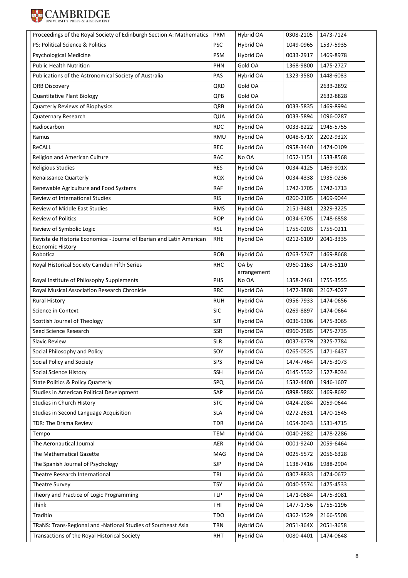

| Proceedings of the Royal Society of Edinburgh Section A: Mathematics                                          | PRM        | Hybrid OA              | 0308-2105 | 1473-7124 |
|---------------------------------------------------------------------------------------------------------------|------------|------------------------|-----------|-----------|
| PS: Political Science & Politics                                                                              | <b>PSC</b> | Hybrid OA              | 1049-0965 | 1537-5935 |
| <b>Psychological Medicine</b>                                                                                 | <b>PSM</b> | Hybrid OA              | 0033-2917 | 1469-8978 |
| <b>Public Health Nutrition</b>                                                                                | PHN        | Gold OA                | 1368-9800 | 1475-2727 |
| Publications of the Astronomical Society of Australia                                                         | PAS        | Hybrid OA              | 1323-3580 | 1448-6083 |
| <b>QRB Discovery</b>                                                                                          | QRD        | Gold OA                |           | 2633-2892 |
| <b>Quantitative Plant Biology</b>                                                                             | QPB        | Gold OA                |           | 2632-8828 |
| Quarterly Reviews of Biophysics                                                                               | QRB        | Hybrid OA              | 0033-5835 | 1469-8994 |
| Quaternary Research                                                                                           | QUA        | Hybrid OA              | 0033-5894 | 1096-0287 |
| Radiocarbon                                                                                                   | <b>RDC</b> | Hybrid OA              | 0033-8222 | 1945-5755 |
| Ramus                                                                                                         | RMU        | Hybrid OA              | 0048-671X | 2202-932X |
| <b>ReCALL</b>                                                                                                 | <b>REC</b> | Hybrid OA              | 0958-3440 | 1474-0109 |
| Religion and American Culture                                                                                 | <b>RAC</b> | No OA                  | 1052-1151 | 1533-8568 |
| <b>Religious Studies</b>                                                                                      | <b>RES</b> | Hybrid OA              | 0034-4125 | 1469-901X |
| Renaissance Quarterly                                                                                         | <b>RQX</b> | Hybrid OA              | 0034-4338 | 1935-0236 |
| Renewable Agriculture and Food Systems                                                                        | RAF        | Hybrid OA              | 1742-1705 | 1742-1713 |
| Review of International Studies                                                                               | <b>RIS</b> | Hybrid OA              | 0260-2105 | 1469-9044 |
| <b>Review of Middle East Studies</b>                                                                          | <b>RMS</b> | Hybrid OA              | 2151-3481 | 2329-3225 |
| <b>Review of Politics</b>                                                                                     | <b>ROP</b> | Hybrid OA              | 0034-6705 | 1748-6858 |
| Review of Symbolic Logic                                                                                      | <b>RSL</b> | Hybrid OA              | 1755-0203 | 1755-0211 |
| Revista de Historia Economica - Journal of Iberian and Latin American                                         | <b>RHE</b> | Hybrid OA              | 0212-6109 | 2041-3335 |
| <b>Economic History</b><br>Robotica                                                                           | <b>ROB</b> | Hybrid OA              | 0263-5747 | 1469-8668 |
| Royal Historical Society Camden Fifth Series                                                                  | <b>RHC</b> | OA by                  | 0960-1163 | 1478-5110 |
|                                                                                                               |            | arrangement            |           |           |
|                                                                                                               |            |                        | 1358-2461 | 1755-3555 |
| Royal Institute of Philosophy Supplements                                                                     | PHS        | No OA                  |           |           |
| Royal Musical Association Research Chronicle                                                                  | <b>RRC</b> | Hybrid OA              | 1472-3808 | 2167-4027 |
| <b>Rural History</b>                                                                                          | <b>RUH</b> | Hybrid OA              | 0956-7933 | 1474-0656 |
| <b>Science in Context</b>                                                                                     | <b>SIC</b> | Hybrid OA              | 0269-8897 | 1474-0664 |
| Scottish Journal of Theology                                                                                  | <b>SJT</b> | Hybrid OA              | 0036-9306 | 1475-3065 |
| Seed Science Research                                                                                         | <b>SSR</b> | Hybrid OA              | 0960-2585 | 1475-2735 |
| <b>Slavic Review</b>                                                                                          | <b>SLR</b> | Hybrid OA              | 0037-6779 | 2325-7784 |
| Social Philosophy and Policy                                                                                  | SOY        | Hybrid OA              | 0265-0525 | 1471-6437 |
| Social Policy and Society                                                                                     | SPS        | Hybrid OA              | 1474-7464 | 1475-3073 |
| Social Science History                                                                                        | <b>SSH</b> | Hybrid OA              | 0145-5532 | 1527-8034 |
| <b>State Politics &amp; Policy Quarterly</b>                                                                  | SPQ        | Hybrid OA              | 1532-4400 | 1946-1607 |
| Studies in American Political Development                                                                     | SAP        | Hybrid OA              | 0898-588X | 1469-8692 |
| Studies in Church History                                                                                     | <b>STC</b> | Hybrid OA              | 0424-2084 | 2059-0644 |
| Studies in Second Language Acquisition                                                                        | <b>SLA</b> | Hybrid OA              | 0272-2631 | 1470-1545 |
| TDR: The Drama Review                                                                                         | TDR        | Hybrid OA              | 1054-2043 | 1531-4715 |
| Tempo                                                                                                         | TEM        | Hybrid OA              | 0040-2982 | 1478-2286 |
| The Aeronautical Journal                                                                                      | AER        | Hybrid OA              | 0001-9240 | 2059-6464 |
| The Mathematical Gazette                                                                                      | MAG        | Hybrid OA              | 0025-5572 | 2056-6328 |
| The Spanish Journal of Psychology                                                                             | <b>SJP</b> | Hybrid OA              | 1138-7416 | 1988-2904 |
| Theatre Research International                                                                                | TRI        | Hybrid OA              | 0307-8833 | 1474-0672 |
| <b>Theatre Survey</b>                                                                                         | <b>TSY</b> | Hybrid OA              | 0040-5574 | 1475-4533 |
| Theory and Practice of Logic Programming                                                                      | <b>TLP</b> | Hybrid OA              | 1471-0684 | 1475-3081 |
| Think                                                                                                         | THI        | Hybrid OA              | 1477-1756 | 1755-1196 |
| Traditio                                                                                                      | <b>TDO</b> | Hybrid OA              | 0362-1529 | 2166-5508 |
| TRaNS: Trans-Regional and -National Studies of Southeast Asia<br>Transactions of the Royal Historical Society | TRN        | Hybrid OA<br>Hybrid OA | 2051-364X | 2051-3658 |